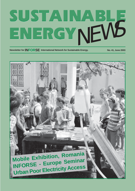# SUSTAINABLE

**Newsletter for INFORSE** International Network for Sustainable Energy. No. 41, June 2003

**Mobile Exhibition, Romania INFORSE - Europe Seminar Urban Poor Electricity Access**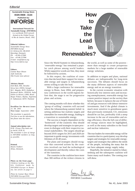**Sustainable Energy News ISSN 0908 - 4134 Published by: INFOR** 

#### **International Network for Sustainable Energy (INFORSE)** *is a worldwide NGO network formed at the Global Forum in Rio de Janeiro, Brazil, 1992.*

#### **Editorial Address:**

*Sustainable Energy News INFORSE-Europe Gl. Kirkevej 82, DK-8530 Hjortshøj, Denmark. Ph: +45-86-227000 Fax: +45-86-227096 E-mail: ove@inforse.org http://www.inforse.org/*

#### **Editors:**

*Gunnar Boye Olesen Judit Szoleczky Niki Fowler (text advice)*

#### **Advisory Board:**

*Emil Bedi, FAE, Slovakia Sécou Sarr, ENDA, Senegal M.C. Mapako, BUN, Zimbabwe Raymond Myles, INSEDA, India Emilio La Rovere, LIMA, Brazil Roque Pedace, Rejima, Argentina D. Sukkumoed, SENT, Thailand*

#### **Deadline for the next issue:** *15. 08. 2003*

**Next issue:** *September 2003*

*The newsletter is quarterly. Feel free to use the information, but please state the source.*

#### **Annual subscription rate:**

*EUR 25/year. Plus bank cost at checks: EUR 10. The newsletter is free of charge to INFORSE members as long as possible.*

**Printed:** *Husets Trykkeri Århus, Denmark.*

**Photo on the front page:** *Children looking at the Mobile Exhibition made by INFORSE-Europe in Romania. See article on page 4.*

*Photo by Gunnar Boye Olesen INFORSE-Europe/OVE.*



Since the World Summit in Johannesburg, 'renewable energy' has remained a popular catch phrase among world leaders. While supportive words are fine, they must be followed by actions.

In this respect, the coalition of countries that declared their support for renewable energy and targets in Johannesburg seems willing to take the lead.

With a large conference for renewable energy in Bonn, June 2004, and preparatory conferences in the world regions before that, the stage is set for progressive plans and actions.

The coming months will show whether this 'group of willing' countries will succeed where the Johannesburg summit failed: in setting ambitious but realistic targets and timetables for renewable energy, leading to a transition to sustainable energy.

The success is largely dependent on the 'homework' of the countries: they should develop targets and strategies in open processes in dialogue with their respective national stakeholders. The targets should go beyond 2010: targets for 2015 and 2020 are important to guide energy investments with lifetimes of 20-40 years.

The plans and strategies should recognize that concerted actions by the countries involved can lead the technological development and thereby reduce the costs of the transition.

The countries in the coalition have more than 300 million of the richest citizens in

the world, as well as some of the poorest more than enough to create prosperous markets for a large number of renewable energy solutions.

In addition to targets and plans, national debates are indispensable for long-term successes. The debates should focus on the many different aspects of renewable energy and on an energy transition.

In the current economic situation with historically low interest rates and increasing unemployment, renewable energy has a more positive impact on the society than before, because it replaces the use of finite oil and gas resources with labour-intensive investments. And if the global climate is much more sensitive to greenhouse gases than previously estimated,  $CO_2$  emissions should be cut fast, preferably with a steep increase in the use of renewables and energy efficiency. Also the full cost of different energy sources must be highlighted, as well as the many subsidies to the fossil and nuclear industries.

The true leaders for renewable energy will be countries that in a participatory way develop targets and strategies for renewable energytargets and strategies that address the needs of the people, including the many that do not have adequate energy supply today.

Hopefully, the initiative started in Johannesburg and the subsequent coalition will foster many such leaders. The coming year will show.

unnar Boye Øleser

INFORSE Coordinator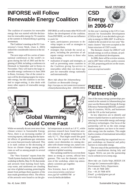# **INFORSE will Follow Renewable Energy Coalition**

The coalition of countries for renewable energy that was started with the declaration for renewable energy by 70 countries at the summit in Johannesburg is gaining momentum.

The Coalition's meeting at the EU Commission's Green Week, (June 4, 2003) stoked the considerable interest in the initiative.

The next steps will be a series of international conferences in the world's regions during the fall of 2003 and the beginning of 2004, including a conference in Denmark in September and in Kenya in November. They will lead to the large renewable energy conference in June 2004 in Bonn, Germany. One of the central issues will be developing targets for renewable energy, but the coalition is not limited to target-setting; it also deals with many other aspects of renewable energy INFORSE as well as many other NGOs will follow the development of the coalition. From INFORSE, we will use our influence to push for

- open, participatory processes to develop targets as well as strategies to implement them,
- strategies that include the social aspects, including the provision of adequate energy services to those who lack it today,
- realisation of targets and strategies, as well as preventing some countries in the Coalition giving lip-service to renewables while they cut down support for renewable energy nationally and internationally.

many other aspects of renewable energy http://europa.eu.int/comm/environment/<br>promotion. climat/johannesburg.htm (04/03/2003) **REEE =** *More info about the Johannesburg Coalition on Renewable Energy: http://europa.eu.int/comm/environment/*



While we normally do not cover news from climate science in Sustainable Energy News, there is an increasing number of worrying reports, indicating that the harmful effects of greenhouse-gas emissions are worse than previously indicated. This is in stark contrast to the decreasing of focus on climate change among politicians as well as among people in several countries.

The "New Scientist" reports from the "Earth System Analysis for Sustainability" workshop in Berlin, May 25-30, that smoke and aerosols from burning fossil fuels, crop waste, and rainforests are clouding our view of global warming, protecting the planet from perhaps three-quarters of the man-made greenhouse effect. The effects of the aerosols were found to cut the global temperature as much as 1.8 °C, while previous research have found that aerosols reduced the global temperature by only 0.2 °C. That might sound like good news, but the experts said that as the smoke cover diminishes in coming decades with cleaner energy use, nature conservation etc., we are in for a dramatic escalation of global warming.

The warming could be two or even three times as strong as current, official best guesses. This was the dramatic conclusion of the workshop, where top atmospheric scientists got together. *Read more: New Scientist, June 4, 2003 www.newscientist.com/news/ news.jsp?id=ns99993798 or*

# **CSD Energy in 2006-07**

At this year's meeting in the UN's Commission for Sustainable Development (CSD) in April, it was decided to give priority to energy in 2006-2007. It will be included in the second of six two-year "thematic clusters" that were accepted as the future structure of CSD's work.

The thematic cluster for 2006-07 will include energy as well as climate, air pollution, and industrial development.

 In 2006, there will be a review session, and in 2007 there will be a policy session of CSD, proposing policies on the issues. *Read more at:*

*www.un.org/esa/sustdev*



One of the many energy partnerships presented at the summit in Johannesburg last year was the Renewable Energy & Energy Efficiency Partnership (REEEP), a partnership of countries, NGOs, and businesses with the UK as the lead partner.

Its key objectives are to identify and remove market barriers to and increase financing for renewable energy and energy efficiency technologies. One focus of the partnership will be on the roles energy market regulators can have to let renewable energy into the markets. This might lead to creation of international network(s) of regulators.

The partnership has organised two expert workshops on financial and policy barriers to renewable energy.

The next step of the partnership will be regional consultations during July and August. NGOs can join the partnership via its website (www.reeep.org).

*More info: att. Giulio Volpi, REEEP, UK Foreign & Commonwealth Office, Environment Policy Department. Ph: +44 20 7008 1891 Fax: +44 20 7008 4076 Email: g.volpi@gtnet.gov.uk www.reep.org.*

www.fu-berlin.de/dahlem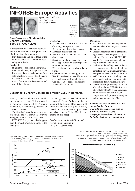## *Europe*

# **INFORSE-Europe Activities**



## **Pan-European Sustainable-Energy Seminar, Sept. 30 - Oct. 4 2003**

A draft program of the seminar is now available on the INFORSE-Europe website. Highlights from the program are:

• Introduction to and guided tour of the unique Center for Alternative Technologies in Wales

#### **October 1:**

- Highlights of sustainable energy solutions: Windpower, wave power, super low-energy houses, technologies for a solar revolution, electricity efficiency, the road to sustainable transport
- Roles of NGOs in the development and use of the solutions.

*By Gunnar B. Olesen and Emil Bedi, INFORSE-Europe*

> *New ecotraining center, where the seminar will be held.*

## **October 2:**

- EU renewable-energy directives for electricity, transport, and heat
- EU promotion of sustainable energy
- European nuclear policies
- Pan-European cooperation for sustainable energy
- Structural funds for accession countries: opportunity, or catastrophe for sustainable energy?
- EU emissions markets what will they bring?
- Open & competitive energy markets: New EU market directives, UK experience with renewables and efficiency, Central European experience, Roundtable discussion

# **Sustainable Energy Exhibition & Vision 2050 in Romania**

May 12, a mobile exhibition on renewable energy and on energy efficiency started in Romania, organised by Prietenii Pamantului, a member organisation of INFORSE-Europe.

The first day it was shown in the town of Focsani, and it is shown in 18 towns throughout Romania from May, 2003.

INFORSE-Europe channelled support from the Danish Open Air Council to the exhibition.

On SunDay, June 22, the exhibition will be shown in Galati. At the same time, a vision will be presented for phase-out of fossil and nuclear energy in Romania, based on INFORSE-Europe's new spreadsheet tool for Vision2050. (See the graphs on this page)

*Read more about the exhibition and the vision for Romania at www.inforse.org/europe.*



#### **October 3:**

• Sustainable development in practice – visit a number of exciting sites in Wales **October 4:**

- Global Cooperation on Sustainable Energy: Renewable Energy & Energy Efficiency Partnership (REEEP, UKbased), EU energy partnership for poverty alleviation, and others
- Coalition of the Willing, renewable-energy target-setting, international sustainable energy institution, renewableenergy conference in Bonn, June 2004
- NGO Cooperation and funding, possibilities and constraints for future NGO cooperation for sustainable energy.
- INFORSE-Europe meeting: discussion of activities during 2002-2003, presentation of plans for 2004, working groups on future activities, priorities, & NGO Cooperation. Adoption of action plan and work programme for 2004.

*Read the full draft program and find the application form at www.inforse.org/europe or send an e-mail to: ove@inforse.org . The fee for the conference is 300 EUR, including food and accommodation.*

*Expected development in heated floorspace in households, industrial heat-demanding activities, and personnel transport in Romania according to the Vision 2050 - preliminary results.*



*Development of the primary net energy supply for Romania, following Vision2050 – preliminary results. Because of large increases in energy efficiency, the energy supply is expected to decrease 3-4 times in spite of growth in housing, transport, and other energy-consuming sectors.*

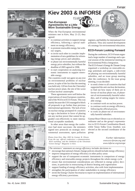









# **Kiev 2003 & INFORSE**

EUROL

## **Pan-European Agreements for a Little More Sustainable Energy**

When the Pan-European environmental ministers met in Kiev, May 21-23, they agreed:

- to continue activities to support energy efficiency, following a special statement on energy efficiency,
- to promote renewable energy, but without targets,
- to invite each other to consider implementation of new guidelines for reforming energy prices and subsidies,
- to phase-out environmentally harmful energy price subsidies, but without the deadline of 2005 agreed in 1998,
- to start cooperation on analysing economic instruments to support renewable energy.

The countries could not agree on any text on environmental problems of nuclear power, in spite of the fact that the meeting was held only 120 km from the Chernobyl nuclear power plant, the site of the worst civilian nuclear catastrophe.

These agreements were well below the expectations of most European countries, and of the NGOs in ECO-Forum. This was mainly because the USA managed to block all proposals to go further than previous international agreements. The lack of text on nuclear energy prompted 41 countries to sign a declaration in favor of phasing out any nuclear power that cannot be upgraded cost-effectively to meet international acceptable standards.

In other areas than energy the conference had more successes: the ministers signed new protocols on strategic environmental assessment, open pollution

*Photos from Kiev, May 2003 by Gunnar B. Olesen. From the top: official conference; a demonstration; NGO workshop, and the exhibition of the Ukrainian "Green Energy" Magazine in Kiev.*

registers, and liability for international river pollution. They also started development of a strategy for environmental education.

# **ECO-Forum Looking Forward**

During the conference, ECO-Forum organised a large number of meetings and a special session of the ministerial meeting on Environmental Policy Integration.

The ECO-Forum's Energy & Climate Group organised a workshop on renewable-energy potentials and targets, a side-event on phasing out environmentally harmful subsidies, and an issue group meeting after the conference. At the issue group meeting, it was decided:

- to send a letter to all countries that had supported the anti-nuclear declaration, to find out how many of them are in favour of nuclear phase-out, of phaseout of environmentally harmful subsidies, and of setting targets for renewable energy.
- to continue work on nuclear power.
- to continue work on energy efficiency, following the official process.
- to work on phase-out of environmentally harmful subsidies.

Gunnar Boye Olesen was re-elected as coordinator and as the group's representative to ECO-Forum Coordination Board, while Tanay Sidka Uyar, Istanbul, was elected as the second coordinator of the group.

> *Further information: www.eco-forum.org and www.inforse.org/europe*

*The ministers' statement on energy efficiency includes decisions to:*

- encourage that national climate change policies should include energy efficiency
- improve integration of energy efficiency in other policy areas
- support the use of transparent economic instruments in comparison of energy efficiency and renewable-energy projects throughout the whole energy cycle
- ensure that environmental considerations are reflected in energy policy decisions, in particular in restructuring of district heating and cogeneration
- support funding of energy efficiency activities, also with Joint implementation
- strengthen the participation of other stakeholders in energy efficiency
- invite the Energy Charter Secretariat to report on implementation of international energy efficiency provisions.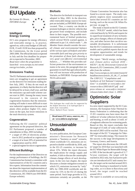# **EU Update**

*By Gunnar B. Olesen, INFORSE-Europe*

# **Intelligent Energy Coming**

EU's new program for energy efficiency and renewable energy is, in practice, agreed-on, with a total budget of 200 mill. EUR, 15 mill. EUR less than proposed by the Commission, for the 4-year period 2003-2006. The official decision is expected in July and the first deadline for proposals is expected in November, 2003. *Read more when the programme is launched: www.europa.eu.int/comm/ energy/res/index\_en.htm*

# **Emissions Trading**

The EU Parliament and environmental ministers are struggling to get an agreement on the directive for emissions trading before July, 2003. If they do not reach an agreement, it is likely that the directive will be delayed for at least a half year, and that the emissions cap-and-trade scheme cannot start in 2005. Among the many issues discussed is the concern of the cogeneration business that the emissiontrading will make it more difficult to start new industrial cogeneration because such plants often produce higher  $CO<sub>2</sub>$  emissions on the spot, but lower emissions in the total electricity system.

# **Cogeneration**

Following the EU countries' political agreement on the proposed directive, the EU Parliament proposed a number of amendments in May, 2003 including:

- a target of 18% of electricity production in 2012 produced as cogeneration
- a target of at least 20% of potential for cogeneration used by 2010
- a special regime for micro-cogeneration.

# **Efficient Buildings**

For the implementation of the Directive on energy performance of buildings, the EU Commission has formed a committee with representatives of the EU countries and a few experts. Information from the committee about the important implementation of this directive will be available from the EU Commission, DG TREN (see INFORSE-Europe website).

# **Biofuels**

The directive for biofuels in transport was adopted in May, 2003. In the directive, other renewable energy sources for transport are included, as INFORSE-Europe advocated. Thus, a country can decide to promote hydrogen or electric vehicles that get power from windpower, and include these in their targets. The possible environmental harm of biofuel production, which several NGOs warned against, is addressed in par 3.4, which reads: "*...the Member States should consider the overall climate and environmental balance of the various types of biofuels and other renewable fuels and may give priority to the promotion of those fuels showing a very good cost-effective environmental balance, ....*". Whether this provides sufficient protection of the environment remains to be seen; the paragraph does not guarantee in itself that agricultural pollution will not increase with production of biofuels, as INFORSE- Europe and other NGOs advocated.



*This hydrogen bus could also be supported by the biofuel directives if its hydrogen-fuel is made from renewables. Photo: Ballard Power System.*

**Read more EU news, sources, etc. at: www.inforse.org/europe**

# **Unsustainable Outlook**

In a new publication, the European Commission's Directorate for Research presents a "business as usual" scenario, where worldwide  $CO_2$  emissions are expected to double worldwide by 2030, and, in the EU-25 countries, to increase by about 15%. While the report discusses the implications for energy supply and markets, it fails to discuss the catastrophic climate-change effects of such development. In the very last chapter, the report discusses a climate-mitigation scenario in which  $CO_2$  emissions increase by "only" 68% for 1990-2030 worldwide and decrease by 15% in the EU-25 during the same period. Such large growths in CO<sub>2</sub> emissions certainly are possible, as the

Climate Convention Secretariat also has found in a recent report. The study completely neglects more sustainable scenarios that several EU countries are following, such as the recent UK White Paper (see on page 7).

The study is based on the EU Commission's "POLES" model, which has been criticized heavily by NGOs and experts for its superficial treatment of new technologies, price changes, effects of climate policies, and other factors that can drive sustainable development. It is unfortunate that the EU Commission continues to use models and to publish reports that do not recognise opportunities and trends for development of sustainable energy.

*The report "World energy, technology, and climate policy outlook 2030 – WETO", by the Directorate-General for Research, EU Commission, 2003, is available from the website:*

*http://www.europa.eu.int/comm/research/ headlines/news/article\_03\_06\_17\_en.html The UNFCCC "Compilation and Synthesis of 3rd National Communications" is available at www.unfccc.int/ resource/docs/2003/sbi/07.pdf and press release at: www.unfccc.int/press/ releases/index.html (June 3, 2003)*

# **Optimistic Solar Suppliers**

In a new report supported by the EU Commission, the European Solar Thermal Industry Federation is celebrating that the 15 EU countries now have more than 10 million m<sup>2</sup> of solar collectors for hot water and heating, as well as about 1.6 mill.  $m<sup>2</sup>$ of unglazed collectors for swimming pools. Based on this, the report concludes that the target of  $15$  mill.  $m^2$  solar collectors by the end of 2003 will be reached. That was the target of the EU "Campaign for Take-Off" for renewable energy. The reason for the success is the large developments in Germany, Greece, and Austria.

The report also discusses the 100 mill. m2 target for 2010 that was launched with the EU White Paper for Renewable Energy in 1995. If the last decade's growth of 11.7 %/year continues, the target will be reached in 2022 only, but if proactive policies are introduced at EU and country levels, the target can be reached around 2015.

If solar heating is mandated in building codes, as it is done in Barcelona and Israel, the target could be reached around 2012.

*The report is available at www.estif.org*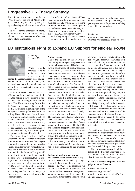# **Progressive UK Energy Strategy**

The UK government launched an Energy White Paper at the end of March with goals of 60%  $\text{CO}_2$  reductions by 2050, adequate heating for all, and security of energy supply.

It places strong emphasis on energy efficiency and on renewable energy, whereas no new construction of nuclear power plants is included.

The realisation of this plan would be a major step towards sustainable development for the UK, which has decreasing resources of oil and gas. The UK's goal is less ambitious than those of Germany and of some other European countries, which aim for 80%  $\text{CO}_2$  reductions by 2050.

At the beginning of June, to ensure progress in the implementation, the UK

government formed a Sustainable Energy Policy Network (SEPN), which brings together government departments with key stakeholder organisations.

*Read more:*

*www.dti.gov.uk/energy/sepn, www.foe.co.uk/resource/press\_releases*

# **EU Institutions Fight to Expand EU Support for Nuclear Power**



*By Antony Froggatt, UK*

While steady progress is being made by NGOs across Europe to

change the Euratom Treaty, three key legislative initiatives are simultaneously being developed that will have a fundamentally different impact on the future of nuclear power.

In the European Convention, the issue of Euratom reform remains a hot topic. In fact, too hot for many politicians to handle, and they are trying to stifle any debate. The dilemma that they face is that the Convention is mandated to streamline the EU institutions in anticipation of the enlargement to twenty-five Member States in May 2004. However, this will mean reviewing the Euratom Treaty, which has remained unreformed since its conception in 1957. The pro-nuclear forces in the EU, in particular the French Government, want to keep Euratom, as it helps them support their nuclear industry in the face of growing pressures of market liberalisation.

The Convention President is Valéry Giscard D'estaing, who when President of France ordered 43 reactors in his six-year reign and is known for his unswerving support of nuclear power. Under his guidance, the Presidium of the Convention proposed that the Euratom Treaty should be kept in its entirety and appended to the future EU constitutions, thus enshrining the Treaty in Europe's future. This proposal was met with outrage from NGOs, governments, and Convention members. Friends of the Earth Europe are now leading a coalition of over 100 groups from across the continents, determined to reform Euratom.

## **Nuclear Loans**

One of the key tools in the Treaty's armoury for promoting nuclear power is the Euratom Loan program. This gives loans for the construction of nuclear facilities across the EU, accession countries, and the former Soviet Union. The fund is not open to non-nuclear generators and there are no similar technology-specific funds. Thus, it creates a market distortion in favour of nuclear power. The Commission has proposed to increase the funds available by a further EUR 2 billion. A leaked memo from the Commission to Member States showed that, in addition to the increase, it wanted to extend the fund to allow the construction of research reactors to be used, amongst other things, for the testing of new fuels such as plutonium fuels. The facility was being considered to complete an RBMK – Chernobyl design – of reactor in Russia, at Kursk. The European Council is currently reviewing the draft legislation. The loan facility has been increased on a number of occasions since it was introduced in the 1970s and each time its approval required unanimous support of Member States. However, proposals are being discussed to change the voting requirement to allow adoption with only majority support. This is because already a number of States, Germany, Austria, and Belgium, have signalled their opposition to the proposed increase.

#### **Package of nuclear waste and safety**

The final legislation currently under preparation is the so-called 'nuclear package', renamed 'the nuclear industry survival package' by NGOs. This comprises two directives, one on safety standards, the other on radioactive-waste management. When the package was first launched in 2002, it was stated that the directive would

introduce common safety standards. However, this has now been watered down and will only require common nuclear safety principles. Consequently, there will be no EU standards, but rather pre-arranged inspections of the nuclear regulators with no guarantee that the subsequent report will even be made public. This proposal falls well short of the demands of a number of Member States. The directive on radioactive-waste management proposes very tight timetables for the identification and operation of radioactive-waste dumps, including a requirement for disposal sites for high-level radioactive waste to be operational by 2018. Were this timetable to be adhered to, it would significantly reduce the time available for scientific analysis and public consultation. Furthermore, the draft directive does not exclude the possibility of the export of waste to third countries, such as Russia, and thus increases the likelihood that the practise of waste dumping in countries with lower environmental standards will begin.

The next few months will be critical in determining the support that nuclear power will receive from the EU institutions in the future. The introduction of the liberalised electricity market requires a level playing field between electricity generators, which is slowly killing nuclear power.

The new powers proposed and the retention of the Euratom Treaty are essential components in the survival of the nuclear industry and must be stopped.

#### **INFORSE-Europe has joined the Campaign to reform Euratom.**

*Further information: www.eu-energy.com and www.foeeurope.org/activities/Nuclear/ abolish\_euratom.htm*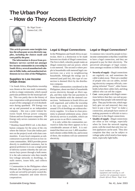# **The Urban Poor – How do They Access Electricity?**



*By Nigel Scott – Gamos Ltd., UK.*

**This article presents some insights into how the urban poor access electricity supplies, including the choices made and costs paid by the poor.**

**The information is drawn from preliminary surveys carried out amongst low-income communities in a township in South Africa, several unauthorised colonies in Delhi, India, and unauthorised settlements in two cities of the Philippines.**

## **Supplies to Low Income Urban Areas**

• In South Africa, Khayelitsha township was chosen as the case study community, as this is a large community, which caused particular problems for the municipal utility. This was partly due to the history of non-cooperation with government bodies as part of the campaigns of civil disobedience during apartheid. PN Energy was set up and presented as an independent company – this was a joint venture between South African power company Eskom and two European companies. PN Energy only serves customers in this one township.

• Bombay-based BSES Ltd. is the distribution company for the areas of the city where the Indcare Trust (the Indian partners on the project) work with slum communities. It uses local companies as subcontractors to provide services to low-income communities. BSES provides power directly to established customers, but its general preference is to use a single point of delivery system whereby the sub-contractor buys power through a bulk meter. It is the sub-contractor who then installs low-voltage networks to dwellings, installs meters, issues bills, and collects payments.

• Communities in the Philippines where Philrads (the Philippine project partner) works are served by privately owned distribution companies and some electric cooperatives.

# **Legal & Illegal Connections**

In the Philippines and South Africa in particular, there is a distinction to be made between two kinds of illegal connections. The first is theft, whereby people make an illegal connection and use power, which is not metered. The second is where people in households with metered legal connections run a wire to neighbouring households. Although the energy use is metered (and paid for), this type of connection is deemed illicit by the distribution company.

Within communities considered in the Philippines, about one third of households access electricity through an illicit supply, and they make flat-rate payments to those households with the metered connections. Settlements in South Africa are well organised, and within the township in the case study, it is estimated that around 15% of dwellings are without electricity supplies. It is those in close proximity to planned settlement areas, where electricity service is available, which can gain access to an illicit connection.

It is only within the communities surveyed in India that there appears to be a considerable amount of theft. It is estimated that there are over 1,400 unauthorised colonies within Delhi city, and in most of these, the residents will use unmetered electricity.

# **Legal or Illegal Connections?**

A common view voiced by people in lowincome communities is that they would like to have a legal connection, and they are prepared to pay for their electricity. The perceived advantages of legal connections amongst residents in Delhi include:

- **Security of supply**  illegal connections are regularly cut, and sometimes the cable is taken away. There are a number of people who can cut cables, including electricity company officials, competing informal "fixers", other households (when their cables fail), and drug addicts who can sell the copper.
- **Cost**  some people with illegal connections believe that they can end up paying more than people with metered supplies. They pay for the wire, which regularly gets cut and removed, they may have to pay a local "fixer" to make a connection, and people have stories of making payments to officials to turn a blind eye to the illegal connections.
- **Quality of supply** illegal connections are often at low voltage, especially when far from the network tapping point, with the result that only low current appliances can be used. They also complain that they can be subject to voltage spike which tend to fuse equipment, especially light bulbs.



*Local residents are given equipment and training to sell vouchers for prepayment meters (South Africa) Photo: Nigel Scott*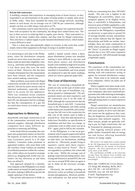#### **Private Sub-contractors**

A building company had experience in managing loans to house buyers, so they responded to an advertisement in the paper inviting tenders to supply slum areas in Delhi, India. They have installed the entire low-voltage network, including meters in each house, for an average cost of 1,500 Rs per connection, although people can buy on credit using a loan given at 5%.

The community used to steal electricity, so the company has experienced problems with acceptance by the community, but things have settled down now. The key to their success in reducing theft is regular spot checks. They read meters to check on the meter readers they employ, and they look for illegal connections. They also have a 3-phase supply to pole-mounted distribution boxes, which makes it more difficult to steal.

This is a slum area, and potentially subject to eviction; in this event they would simply remove their equipment in the hope of using it in another location.

It is interesting to note that in the Philippines, when the distribution company would not serve slum areas because residents could not meet their eligibility criteria (e.g., land titles and building permits), it was these areas that were the main source of theft. However, this has been virtually eliminated since the requirements have been relaxed, and the companies have started making connections.

Other problems associated with illegal connections include risk of electric shock and fire. Electricity poses serious risks in informal settlements, especially where there is no access for fire appliances. There was consensus across countries that electricity causes more fires than bottled LPG (an alternative fuel for cooking), but that the consequences of a gas fire are much more severe, as it tends to cause explosions.

## **Approaches to Metering**

Households with legal connections in all of the communities surveyed now have metered supplies, although distribution companies have taken different approaches to metering and billing.

In the South African township, the company uses prepayment meters exclusively, the majority of which are of the voucher type (customers punch in a 20 digit number). Customers make payments at appointed vendors, who issue them with the vouchers. Some vendors are installed at residential premises within the community, whilst others are located in strategic places e.g. shopping mall. In this way customers can buy electricity as and when they can afford it.

One approach adopted by a distribution company in the Philippines is to install credit meters on boards located on poles in the street, making it difficult to tap into the supply upstream of the meters.

One private subcontractor in Delhi in-

stalled a similar system where a threephase distribution system was installed, making it more difficult to tap into, and three-phase meters and distribution boards were installed at high level on poles within the community. Credit meters were installed in households and local people are employed to take the meter readings, which are used to generate paper bills.

## **The Cost of Electricity**

The cost of connecting a household depends not only on the type of meter used, but also on the type of installation; e.g., above ground or underground. The prepayment meters are more expensive, and the connection cost is on the order of \$300, although the connection fee that the household pays is only \$20. Connection costs in the Philippines and India (using credit meters) are around \$30, and customers pay the full cost in the connection fee (the cost of the meters used in India is around \$12). Note that subcontractors in India have flexibility on specification of installation and fees they can charge, so connection costs in other areas was up to \$70 – again, paid in full by the customer.

In the Philippines, it is the local government which requires paperwork before a household can make a connection, such as land titles, tax declarations, building permits etc. Obviously, people living as squatters cannot meet these requirements, so they resort to "fixers". This is not regarded as a problem, but it does add to the costs. Whilst the average cost of getting connected (including meters, fees, wiring and fixtures) is around \$70, the cost can rise to around \$100 when an agent is use to make all the necessary arrangements.

Obviously, the monthly spending on electricity varies according to household income and appliances. However, preliminary indications are that poorer households are consuming less than 100 kWh/ month. The unit cost is highest in the Philippines (8 cents/kWh), where consumption appears to be slightly lower; then, 6 cents/kWh in Khayelitsha; and lowest in areas of Delhi supplied by a subcontractor at 3 cents/kWh. Of households surveyed in the Philippines, expenditure on electricity is equivalent to around 5% of average monthly income, and preliminary results indicate that the figures for Khayelitsha and Delhi are similar. Interestingly, there are some communities in Delhi where people pay a monthly fee to the "fixers" to provide an illegal supply, and this fee is over 50% more expensive than paying for 100 kWh/month through a legitimate supply.

## **Conclusions**

The experience of the communities surveyed is that the urban poor can end up dealing with sub-contractors acting as agents for licensed distribution companies. These tend to be relatively small, local companies, which can make use of local labour.

Where supplies have been made available to low income communities by private companies, they have used both prepayment and credit metering technologies, showing that both can be made to work, although prepayment is a more expensive approach.

Illegal connections are unsatisfactory as they are unreliable (wires get cut), they offer poor quality of serve such that people cannot use the appliances they want, they are dangerous, and can even be more expensive than metered supplies. For these reasons, people are generally willing to pay for legal connections, but can be frustrated by planning processes.

This ongoing research project will gather further household data on energy use and factors affecting household choices of energy supply.

 *This article is an output from a project funded by the UK Department for international Development (DFID) for the benefit of developing countries. The views expressed are not necessarily those of the DFID.*

 *The contributions of EDRC at the University of Cape Town, the Indcare Trust of Delhi, and Philrads of the Philippines are gratefully acknowledged.*

*More info: GAMOS ltd, Crown House, 231 Kings Rd, Reading, Berks, RG1 4LS, UK. Ph: +44 118-929 9513/ - 9267039, Fax+44 118 929 9514 E-mail: Nigel@gamos.org* http://www.gamos.org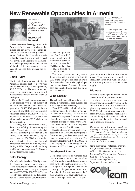# **New Renewable Opportunities in Armenia**



*By Artashes Sargsyan, PhD, Chairman of NGO EcoTeam, INFORSE member organisation*

#### **Increased Interest**

Interest in renewable energy resources in Armenia is fuelled by the growing need to utilize the country's own energy resources, to increase the energy independence of the Republic. Presently, Armenia is highly dependent on imported fossil fuel as well as nuclear fuel for the Armenian nuclear power plant. In 2000, 78.8% of the electricity was generated on the basis of imported fuel (nuclear fuel included).

# **Small Hydro**

The technical hydropower potential in Armenia is estimated to be 7-8 TWh/year, and the economically feasible potential, 3.2-3.5 TWh/year. The present average annual electricity generation by all hydropower stations in Armenia totals 1.6 TWh/year.

Currently, 29 small hydropower plants are in operation with a total capacity of 42.8 MW and average annual electricity generation of 0.107 TWh/year. In the last 5 years, 11 new HPPs were constructed with a total capacity of 9.86 MW; of these, only one is state-owned. 11 private HPPs with a total capacity of 25.5 MW are under construction.

According to previous research in 1997, there is a possibility of constructing 325 small HPPs with total capacity of 274 MW and total electricity generation of 0.83 TWh/year. Of these small HPPs, 38 (with a total capacity of 70 MW) were found to be most attractive. To overcome financial barriers for construction of HPPs, establishing a USAID-sponsored revolving fund is under consideration. PA Consulting (UK) is involved in this.

# **Solar Energy**

With solar radiation about 70% higher than the European average, Armenia possesses favourable opportunities for solar energy development. During a two-year program (2000-2001), *ARMNEDSUN,* sponsored by the Netherlands, 15 demonstration solar water heaters (SWH) were in-



*A small 800-kW gridconnected hydro power plant installed in 2000 in Armenia.*

*The largest solar water heating system in Armenia* with total area of 64 m<sup>2</sup>, *manufactured and installed in 2002 by SolarEn LLC .*



The current price of such a system is 1,150 USD, and it allows savings up to 65% of the energy demand for hot water for a 5-member family. The payback period is about 5 years. Currently, this company has installed more than 300 m<sup>2</sup> of solar collectors.

## **Wind Energy**

The technically available potential of wind energy in Armenia has been evaluated as 1.6 TWh/year (500-1000 MW).

From 1999 to 2001, with funding from the Netherlands, the wind energy potential was re-evaluated. Results of the projects indicate potential for 100-150 MW of windpower in the Northwestern part of Armenia. Project proposals were developed for 80 kW and 20 MW wind power plants around the Pushkin pass.

SolarEn LLC has prepared a project proposal for a 20-MW wind power plant at the Sotsk pass (near lake Sevan) and continues to monitor winds at the site. The company, together with NREL (USA), is going to prepare a wind energy atlas of Armenia in 2003 with funding from USAID.

# **Geothermal Energy**

Geothermal resources of Armenia have been estimated at 584 PJ (162 TWh-thermal). Currently, mineral-thermal water is used for health treatment purposes. According to the 1998 report of GeothermEx company on the geothermal resources of Armenia, of 18 investigated zones, the 5 most attractive areas have water temperatures in the range of  $40 - 63$  °C. The pros-



Photos by A.Ambaryan and V.Tsatryanby A.Ambaryan and V.Tsatryan hotos

pects of utilization of the Arzakan thermal waters, 30 km from Yerevan, are under investigation in the framework of a GEF/ World Bank project for a Yerevan heat supply.

# **Biomass**

Interest is rising again in Armenia in the possibilities of biogas installations.

In the recent years, some have been established, with digester volume in the range of 3-6 m<sup>3</sup>. Currently, Advanced Engineering Associates International (AEAI) is selecting sites and looking their feasibility. AEAI plans to establish a special revolving fund to allocate credit arrangements to the projects, but the funding is uncertain presently.

*The basis for this article was a research conducted by the author, along with the UNDP/ GEF Armenia Country Study on Climate Change. The author acknowledges the valuable comments of Michael Vermishev and of Diana Harutyunyan. (Note: 1 TWh = 1 billion kWh)*

*More information: Artashes Sargsyan, PhD, Chairman of NGO EcoTeam, Address: 22a Abovian St., apt 53, Yerevan, 375001, Republic of Armenia. Ph/Fax: +3741 52-92-77, e-mail: ecoteam@freenet.am, http://users.freenet.am/~ecoteam.*

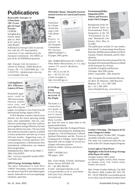# **Publications**

**Renewable Energies in**

**Urban Areas 100 Examples of Good Practice** CD-ROM In English & in French. Readable by MAC & PC with Acrobat Reader.



*Published by Energie-Cités in association with the 105 municipalities concerned. It was cofinanced by the European Commission - DG TREN, as part of the ALTERNER programme.*

*Info: Energie Cités Secretariat, 2 chemin de Palente, 25000 Besancon France. Ph: +33 3 81653680, fax: +33 3 81507351, info@energie-cites.org* www.energie-cites.org

## **Cool Appliances 30% Efficiency Gains in 10 Years**

Household appliances could be 30% more energyefficient without extra costs, and meet 30% of Kyoto



targets, according to a new book from the International Energy Agency (IEA).

In IEA Member countries, electrical appliances are the fastest growing energy users, after automobiles. And yet, costeffective technology exists that could improve appliance energy efficiency by more than one-third in ten years. The new book also analyses the policy options available to boost production and take-up of more efficient models. Suggesting ways of strengthening existing appliance-efficiency programmes, it demonstrates how international collaboration can enhance those programmes.

Published by IEA. ISBN: 92-64-19661-7, 2003, 231p. EUR75

*Info: www.iea.org/public/studies/2003/ cool/index.htm*

#### **OPEN Energy Technology Bulletin**

The above information is from IEA's "OPEN" Newsletter, a free email newsletter with news from IEA and related organisations. Subscribe at www.iea.org/impagr/ cip/about\_open.htm

#### **Defend the Climate, Manual for Environmental Activists in Central and Eastern Europe**

Published by Climate Action Network- CAN-CEE, Romania. Project financed by the European Commission - ISBN 973-85203-7-1



92 pages, 2002, gratis.

*Info: TERRA Millennium III, CANCEE, Piata Walter Maracineanu, nr 1-3, etaj2 camera 171, sector1, Bucharest, Romania. Ph: +40 21 312 68 70, fax: + 40 722 155 110, e-mail: terra@fx.ro, http://terraIII.ngo.ro.*

#### **ECOvillage Living Restoring the Earth & Her People**

The book is a comprehensive guide to everything you've always wanted to know about ecovilla-



ges from the tools to make them to the people behind them.

 The Chapters describe: Ecological Dimension in the food production, building technologies etc.; Social Dimension; Cultural-Spiritual Dimension; and the Process of Creating an Eco-Villages. Each Chapter is illustrated with an insight of several ecovillages with many pictures.

*Edited by Hildur Jackson and Karen Svenson ISBN 1-903998-16-6 180 pages, 2002*

*Info: Green Books, Foxhole, Dartington Totnes, Devon TQ9 6EB, UK. Ph: +44 1803 863260 E-mail: sales@greenbooks.co.uk, www.greenbooks.co.uk in association with Gaia Trust, Denmark, www.gaia.org*

#### **Environmental Policy Integration (EPI) Theory and Practice in the UNECE Region**

Background book for the Round Table on Environmental Policy Integration at the 5th "Environment for Europe" Ministerial Conference, Kiev, May 21- 23, 2003.



The publication include 25 case studies, from which 7 is about energy from Russia, Romania, Mediterranean islands, K2/R4 in Ukraine, Poland, Denmark, and EU liberalisation.

The publication has been prepared by the European Environmental Bureau on behalf of the European Eco-Forum. Available in English and Russian. 194 pages, May 2003, gratis. *Editor responsible: John Hontelez*

*Info: European Environmental Bureau, 34, Blvd. De Waterloo, 1000 Brussels Belgium. Ph: +32 2 289 1090, fax: +32 2 289 1099 mara.silina@eeb.org, www.eeb.org*



## **London's Warming - The Impacts of Climate Change on London**

Summary Report, October 2002, 24 pages. Available in Braille version, gratis. The study was conducted under the umbrella of the UK Climate Impacts Program.

## **Green Light to Clean Power - Highlights of the Draft Energy Strategy of the Mayor of London**

24 pages January 2003, gratis. Available in English, Chinese, Hindi, Vietnamese, Bengali, Greek, Urdu, Turkish, Arabic, Punjabi, and Gujarati.

*Info: Greater London Authority, City Hall, The Queen's Walk, London SE1 2AA, UK. Ph: +44 20 79834100, www.london.gov.uk* www.ukip.org.uk/london/london.html